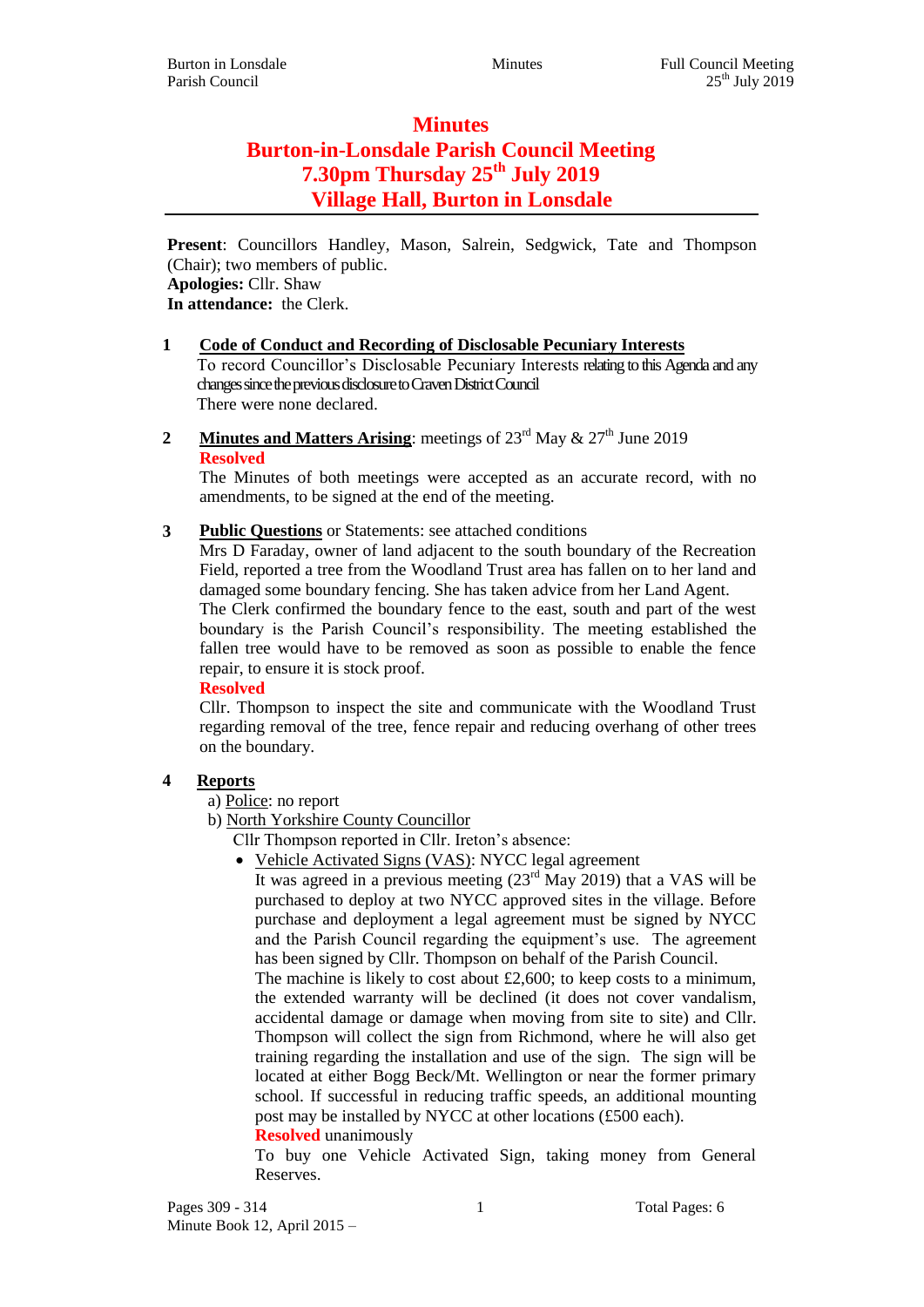# **Minutes Burton-in-Lonsdale Parish Council Meeting 7.30pm Thursday 25th July 2019 Village Hall, Burton in Lonsdale**

**Present**: Councillors Handley, Mason, Salrein, Sedgwick, Tate and Thompson (Chair); two members of public. **Apologies:** Cllr. Shaw **In attendance:** the Clerk.

### **1 Code of Conduct and Recording of Disclosable Pecuniary Interests**

To record Councillor's Disclosable Pecuniary Interests relating to this Agenda and any changes since the previous disclosure to Craven District Council There were none declared.

**2 Minutes and Matters Arising**: meetings of  $23^{\text{rd}}$  May  $\& 27^{\text{th}}$  June 2019 **Resolved**

The Minutes of both meetings were accepted as an accurate record, with no amendments, to be signed at the end of the meeting.

**3 Public Questions** or Statements: see attached conditions

Mrs D Faraday, owner of land adjacent to the south boundary of the Recreation Field, reported a tree from the Woodland Trust area has fallen on to her land and damaged some boundary fencing. She has taken advice from her Land Agent.

The Clerk confirmed the boundary fence to the east, south and part of the west boundary is the Parish Council's responsibility. The meeting established the fallen tree would have to be removed as soon as possible to enable the fence repair, to ensure it is stock proof.

**Resolved**

Cllr. Thompson to inspect the site and communicate with the Woodland Trust regarding removal of the tree, fence repair and reducing overhang of other trees on the boundary.

#### **4 Reports**

a) Police: no report

b) North Yorkshire County Councillor

- Cllr Thompson reported in Cllr. Ireton's absence:
	- Vehicle Activated Signs (VAS): NYCC legal agreement

It was agreed in a previous meeting  $(23^{rd}$  May 2019) that a VAS will be purchased to deploy at two NYCC approved sites in the village. Before purchase and deployment a legal agreement must be signed by NYCC and the Parish Council regarding the equipment's use. The agreement has been signed by Cllr. Thompson on behalf of the Parish Council.

The machine is likely to cost about  $£2,600$ ; to keep costs to a minimum, the extended warranty will be declined (it does not cover vandalism, accidental damage or damage when moving from site to site) and Cllr. Thompson will collect the sign from Richmond, where he will also get training regarding the installation and use of the sign. The sign will be located at either Bogg Beck/Mt. Wellington or near the former primary school. If successful in reducing traffic speeds, an additional mounting post may be installed by NYCC at other locations (£500 each).

#### **Resolved** unanimously

To buy one Vehicle Activated Sign, taking money from General Reserves.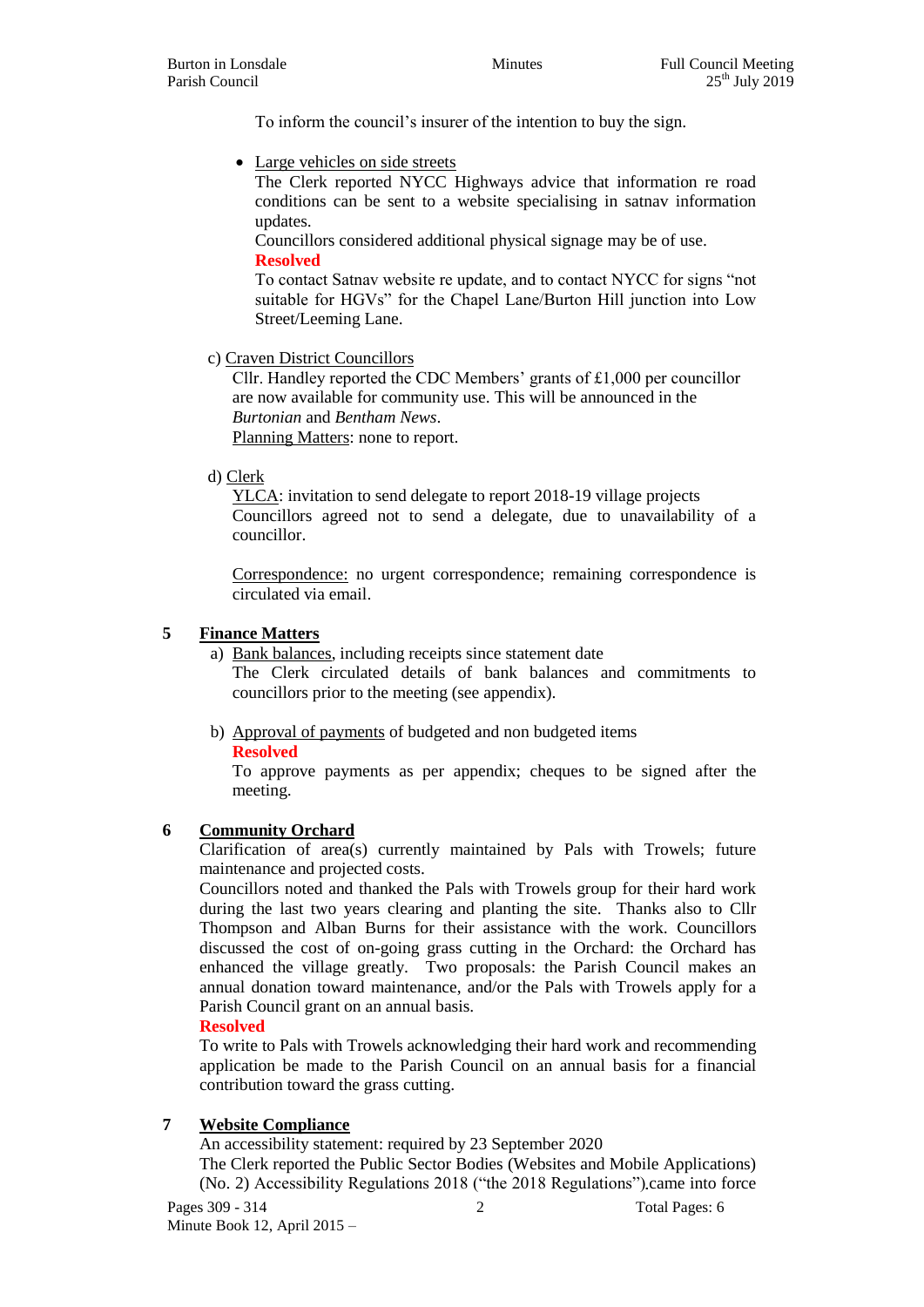To inform the council's insurer of the intention to buy the sign.

• Large vehicles on side streets

The Clerk reported NYCC Highways advice that information re road conditions can be sent to a website specialising in satnav information updates.

Councillors considered additional physical signage may be of use. **Resolved**

To contact Satnav website re update, and to contact NYCC for signs "not suitable for HGVs" for the Chapel Lane/Burton Hill junction into Low Street/Leeming Lane.

c) Craven District Councillors

Cllr. Handley reported the CDC Members' grants of £1,000 per councillor are now available for community use. This will be announced in the *Burtonian* and *Bentham News*. Planning Matters: none to report.

d) Clerk

YLCA: invitation to send delegate to report 2018-19 village projects Councillors agreed not to send a delegate, due to unavailability of a councillor.

Correspondence: no urgent correspondence; remaining correspondence is circulated via email.

### **5 Finance Matters**

a) Bank balances, including receipts since statement date

The Clerk circulated details of bank balances and commitments to councillors prior to the meeting (see appendix).

b) Approval of payments of budgeted and non budgeted items

**Resolved**

To approve payments as per appendix; cheques to be signed after the meeting.

# **6 Community Orchard**

Clarification of area(s) currently maintained by Pals with Trowels; future maintenance and projected costs.

Councillors noted and thanked the Pals with Trowels group for their hard work during the last two years clearing and planting the site. Thanks also to Cllr Thompson and Alban Burns for their assistance with the work. Councillors discussed the cost of on-going grass cutting in the Orchard: the Orchard has enhanced the village greatly. Two proposals: the Parish Council makes an annual donation toward maintenance, and/or the Pals with Trowels apply for a Parish Council grant on an annual basis.

#### **Resolved**

To write to Pals with Trowels acknowledging their hard work and recommending application be made to the Parish Council on an annual basis for a financial contribution toward the grass cutting.

# **7 Website Compliance**

An accessibility statement: required by 23 September 2020

The Clerk reported the Public Sector Bodies (Websites and Mobile Applications) (No. 2) Accessibility Regulations 2018 ("the 2018 Regulations") came into force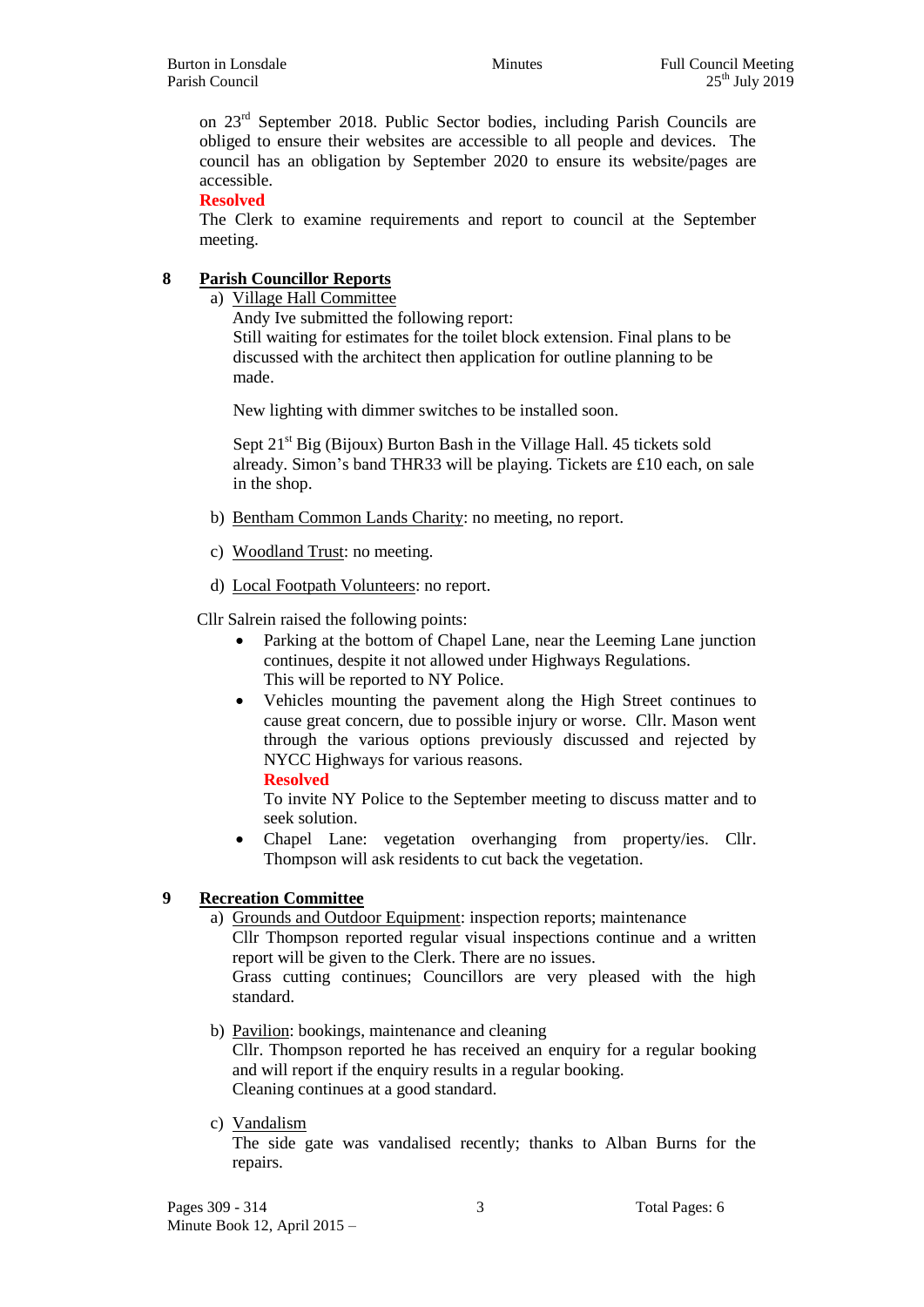on 23rd September 2018. Public Sector bodies, including Parish Councils are obliged to ensure their websites are accessible to all people and devices. The council has an obligation by September 2020 to ensure its website/pages are accessible.

**Resolved**

The Clerk to examine requirements and report to council at the September meeting.

# **8 Parish Councillor Reports**

a) Village Hall Committee

Andy Ive submitted the following report:

Still waiting for estimates for the toilet block extension. Final plans to be discussed with the architect then application for outline planning to be made.

New lighting with dimmer switches to be installed soon.

Sept  $21<sup>st</sup>$  Big (Bijoux) Burton Bash in the Village Hall. 45 tickets sold already. Simon's band THR33 will be playing. Tickets are £10 each, on sale in the shop.

- b) Bentham Common Lands Charity: no meeting, no report.
- c) Woodland Trust: no meeting.
- d) Local Footpath Volunteers: no report.

Cllr Salrein raised the following points:

- Parking at the bottom of Chapel Lane, near the Leeming Lane junction continues, despite it not allowed under Highways Regulations. This will be reported to NY Police.
- Vehicles mounting the pavement along the High Street continues to cause great concern, due to possible injury or worse. Cllr. Mason went through the various options previously discussed and rejected by NYCC Highways for various reasons.
	- **Resolved**

To invite NY Police to the September meeting to discuss matter and to seek solution.

 Chapel Lane: vegetation overhanging from property/ies. Cllr. Thompson will ask residents to cut back the vegetation.

# **9 Recreation Committee**

a) Grounds and Outdoor Equipment: inspection reports; maintenance

Cllr Thompson reported regular visual inspections continue and a written report will be given to the Clerk. There are no issues.

Grass cutting continues; Councillors are very pleased with the high standard.

- b) Pavilion: bookings, maintenance and cleaning Cllr. Thompson reported he has received an enquiry for a regular booking and will report if the enquiry results in a regular booking. Cleaning continues at a good standard.
- c) Vandalism

The side gate was vandalised recently; thanks to Alban Burns for the repairs.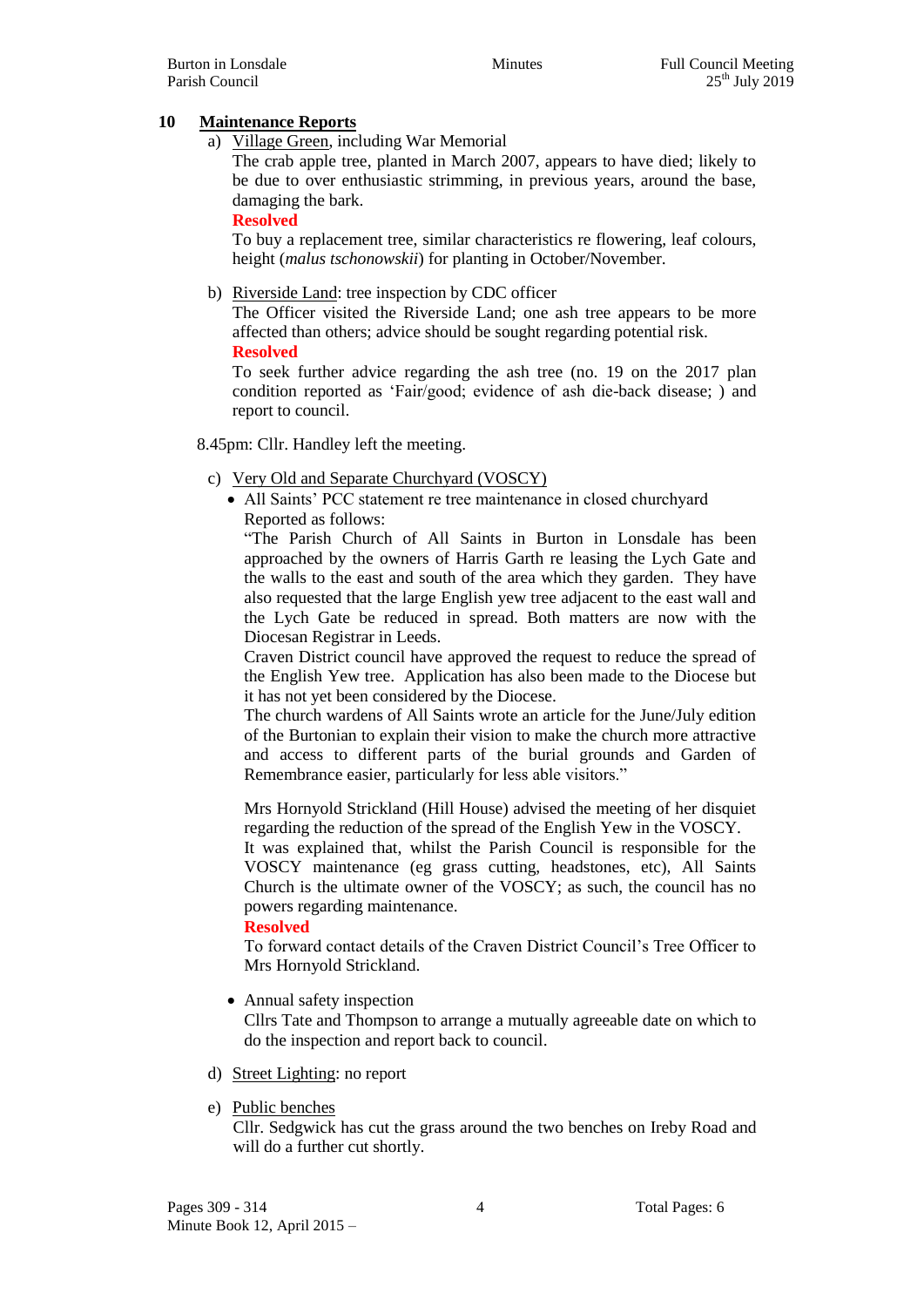### **10 Maintenance Reports**

a) Village Green, including War Memorial

The crab apple tree, planted in March 2007, appears to have died; likely to be due to over enthusiastic strimming, in previous years, around the base, damaging the bark.

#### **Resolved**

To buy a replacement tree, similar characteristics re flowering, leaf colours, height (*malus tschonowskii*) for planting in October/November.

### b) Riverside Land: tree inspection by CDC officer

The Officer visited the Riverside Land; one ash tree appears to be more affected than others; advice should be sought regarding potential risk.

#### **Resolved**

To seek further advice regarding the ash tree (no. 19 on the 2017 plan condition reported as 'Fair/good; evidence of ash die-back disease; ) and report to council.

#### 8.45pm: Cllr. Handley left the meeting.

- c) Very Old and Separate Churchyard (VOSCY)
	- All Saints' PCC statement re tree maintenance in closed churchyard Reported as follows:

"The Parish Church of All Saints in Burton in Lonsdale has been approached by the owners of Harris Garth re leasing the Lych Gate and the walls to the east and south of the area which they garden. They have also requested that the large English yew tree adjacent to the east wall and the Lych Gate be reduced in spread. Both matters are now with the Diocesan Registrar in Leeds.

Craven District council have approved the request to reduce the spread of the English Yew tree. Application has also been made to the Diocese but it has not yet been considered by the Diocese.

The church wardens of All Saints wrote an article for the June/July edition of the Burtonian to explain their vision to make the church more attractive and access to different parts of the burial grounds and Garden of Remembrance easier, particularly for less able visitors."

Mrs Hornyold Strickland (Hill House) advised the meeting of her disquiet regarding the reduction of the spread of the English Yew in the VOSCY.

It was explained that, whilst the Parish Council is responsible for the VOSCY maintenance (eg grass cutting, headstones, etc), All Saints Church is the ultimate owner of the VOSCY; as such, the council has no powers regarding maintenance.

#### **Resolved**

To forward contact details of the Craven District Council's Tree Officer to Mrs Hornyold Strickland.

• Annual safety inspection

Cllrs Tate and Thompson to arrange a mutually agreeable date on which to do the inspection and report back to council.

- d) Street Lighting: no report
- e) Public benches

Cllr. Sedgwick has cut the grass around the two benches on Ireby Road and will do a further cut shortly.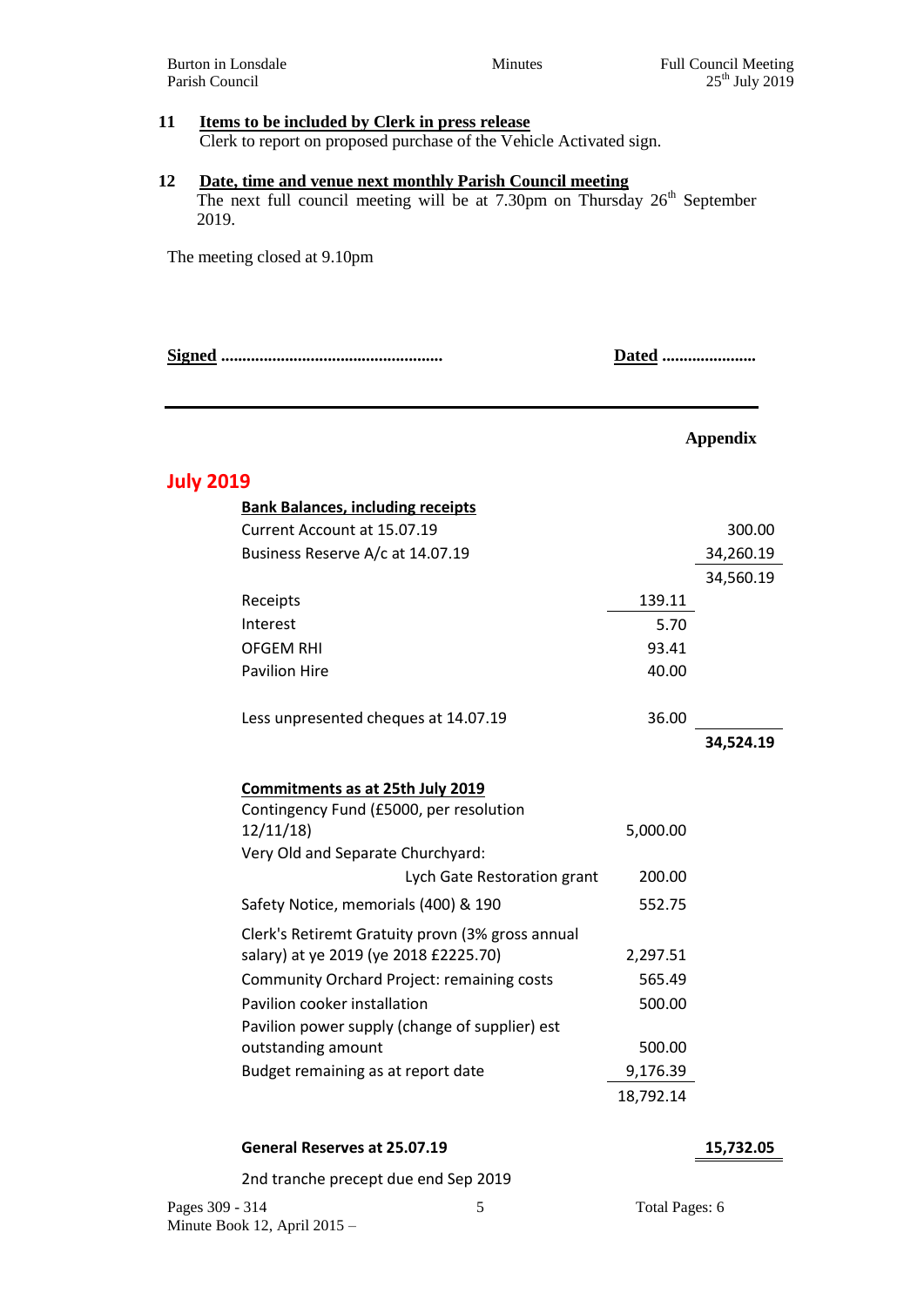# **11 Items to be included by Clerk in press release**

Clerk to report on proposed purchase of the Vehicle Activated sign.

### **12 Date, time and venue next monthly Parish Council meeting**

The next full council meeting will be at 7.30pm on Thursday 26<sup>th</sup> September 2019.

The meeting closed at 9.10pm

**Signed .................................................... Dated ......................**

### **Appendix**

# **July 2019**

| <b>Bank Balances, including receipts</b>         |           |           |
|--------------------------------------------------|-----------|-----------|
| Current Account at 15.07.19                      |           | 300.00    |
| Business Reserve A/c at 14.07.19                 |           | 34,260.19 |
|                                                  |           | 34,560.19 |
| Receipts                                         | 139.11    |           |
| Interest                                         | 5.70      |           |
| <b>OFGEM RHI</b>                                 | 93.41     |           |
| <b>Pavilion Hire</b>                             | 40.00     |           |
| Less unpresented cheques at 14.07.19             | 36.00     |           |
|                                                  |           | 34,524.19 |
| Commitments as at 25th July 2019                 |           |           |
| Contingency Fund (£5000, per resolution          |           |           |
| 12/11/18                                         | 5,000.00  |           |
| Very Old and Separate Churchyard:                |           |           |
| Lych Gate Restoration grant                      | 200.00    |           |
| Safety Notice, memorials (400) & 190             | 552.75    |           |
| Clerk's Retiremt Gratuity provn (3% gross annual |           |           |
| salary) at ye 2019 (ye 2018 £2225.70)            | 2,297.51  |           |
| Community Orchard Project: remaining costs       | 565.49    |           |
| Pavilion cooker installation                     | 500.00    |           |
| Pavilion power supply (change of supplier) est   |           |           |
| outstanding amount                               | 500.00    |           |
| Budget remaining as at report date               | 9,176.39  |           |
|                                                  | 18,792.14 |           |

#### **General Reserves at 25.07.19 15,732.05**

2nd tranche precept due end Sep 2019